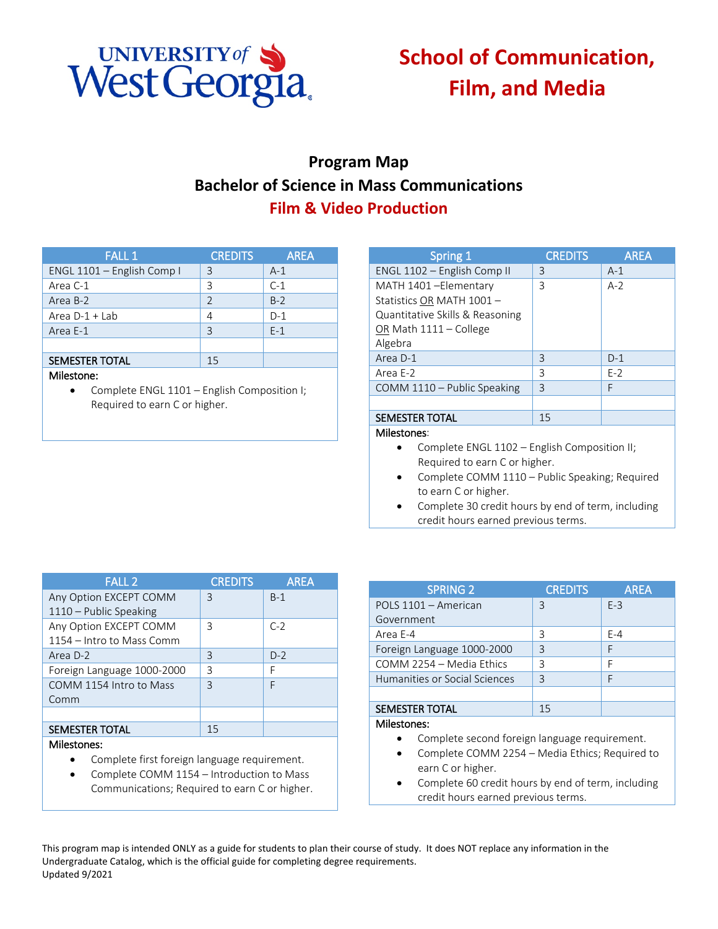

## **School of Communication, Film, and Media**

## **Program Map Bachelor of Science in Mass Communications Film & Video Production**

| <b>FALL 1</b>              | <b>CREDITS</b> | <b>AREA</b> |
|----------------------------|----------------|-------------|
| ENGL 1101 - English Comp I | 3              | $A-1$       |
| Area C-1                   | 3              | $C-1$       |
| Area B-2                   | $\overline{2}$ | $B-2$       |
| Area $D-1 + Lab$           | 4              | $D-1$       |
| Area E-1                   | 3              | $E-1$       |
|                            |                |             |
| <b>SEMESTER TOTAL</b>      | 15             |             |
| 1. Aileetene .             |                |             |

## Milestone:

• Complete ENGL 1101 – English Composition I; Required to earn C or higher.

| Spring 1                                                                                                                 | <b>CREDITS</b> | <b>AREA</b> |
|--------------------------------------------------------------------------------------------------------------------------|----------------|-------------|
| ENGL 1102 - English Comp II                                                                                              | 3              | $A-1$       |
| MATH 1401-Elementary<br>Statistics OR MATH 1001-<br>Quantitative Skills & Reasoning<br>OR Math 1111 - College<br>Algebra | 3              | $A-2$       |
| Area D-1                                                                                                                 | 3              | $D-1$       |
| Area E-2                                                                                                                 | 3              | $E-2$       |
| COMM 1110 - Public Speaking                                                                                              | 3              | F           |
| <b>SEMESTER TOTAL</b>                                                                                                    | 15             |             |
| Milestones:                                                                                                              |                |             |

- Complete ENGL 1102 English Composition II; Required to earn C or higher.
- Complete COMM 1110 Public Speaking; Required to earn C or higher.
- Complete 30 credit hours by end of term, including credit hours earned previous terms.

| <b>FALL 2</b>              | <b>CREDITS</b> | <b>AREA</b> |
|----------------------------|----------------|-------------|
| Any Option EXCEPT COMM     | 3              | $B-1$       |
| 1110 - Public Speaking     |                |             |
| Any Option EXCEPT COMM     | 3              | $C-2$       |
| 1154 – Intro to Mass Comm  |                |             |
| Area D-2                   | 3              | $D-2$       |
| Foreign Language 1000-2000 | ξ              | F           |
| COMM 1154 Intro to Mass    | $\mathsf{R}$   | F           |
| Comm                       |                |             |
|                            |                |             |
| <b>SEMESTER TOTAL</b>      | 15             |             |
| Milestones:                |                |             |

- Complete first foreign language requirement.
- Complete COMM 1154 Introduction to Mass Communications; Required to earn C or higher.

| <b>SPRING 2</b>               | <b>CREDITS</b> | <b>AREA</b> |
|-------------------------------|----------------|-------------|
| POLS 1101 - American          | 3              | $F-3$       |
| Government                    |                |             |
| Area E-4                      | 3              | $F - 4$     |
| Foreign Language 1000-2000    | 3              | F           |
| COMM 2254 - Media Ethics      | ζ              | F           |
| Humanities or Social Sciences | $\mathsf{R}$   |             |
|                               |                |             |
| <b>SEMESTER TOTAL</b>         | 15             |             |
| <b>Milestones:</b>            |                |             |

- Complete second foreign language requirement.
- Complete COMM 2254 Media Ethics; Required to earn C or higher.
- Complete 60 credit hours by end of term, including credit hours earned previous terms.

This program map is intended ONLY as a guide for students to plan their course of study. It does NOT replace any information in the Undergraduate Catalog, which is the official guide for completing degree requirements. Updated 9/2021